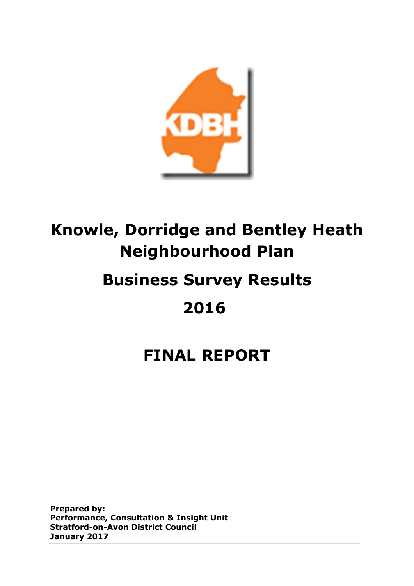

# **Knowle, Dorridge and Bentley Heath Neighbourhood Plan**

# **Business Survey Results**

# **2016**

# **FINAL REPORT**

**Prepared by: Performance, Consultation & Insight Unit Stratford-on-Avon District Council January 2017**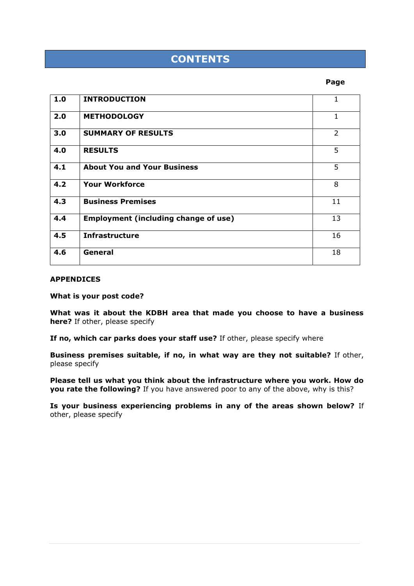# **CONTENTS**

#### **Page**Research in the control of the control of the control of the control of the control of the control of the control of the control of the control of the control of the control of the control of the control of the contr

| 1.0 | <b>INTRODUCTION</b>                         | 1             |
|-----|---------------------------------------------|---------------|
| 2.0 | <b>METHODOLOGY</b>                          | 1             |
| 3.0 | <b>SUMMARY OF RESULTS</b>                   | $\mathcal{P}$ |
| 4.0 | <b>RESULTS</b>                              | 5             |
| 4.1 | <b>About You and Your Business</b>          | 5             |
| 4.2 | <b>Your Workforce</b>                       | 8             |
| 4.3 | <b>Business Premises</b>                    | 11            |
| 4.4 | <b>Employment (including change of use)</b> | 13            |
| 4.5 | <b>Infrastructure</b>                       | 16            |
| 4.6 | General                                     | 18            |

#### **APPENDICES**

**What is your post code?** 

**What was it about the KDBH area that made you choose to have a business here?** If other, please specify

**If no, which car parks does your staff use?** If other, please specify where

**Business premises suitable, if no, in what way are they not suitable?** If other, please specify

**Please tell us what you think about the infrastructure where you work. How do you rate the following?** If you have answered poor to any of the above, why is this?

**Is your business experiencing problems in any of the areas shown below?** If other, please specify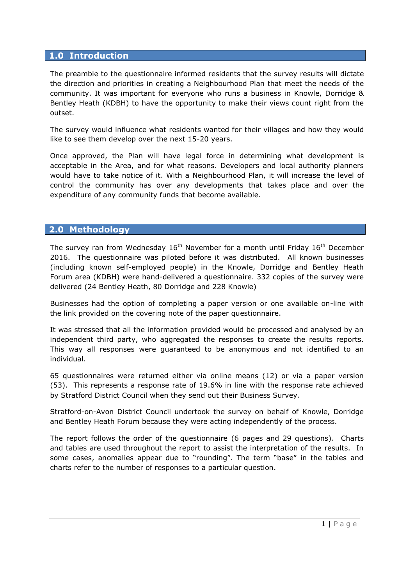# **1.0 Introduction**

The preamble to the questionnaire informed residents that the survey results will dictate the direction and priorities in creating a Neighbourhood Plan that meet the needs of the community. It was important for everyone who runs a business in Knowle, Dorridge & Bentley Heath (KDBH) to have the opportunity to make their views count right from the outset.

The survey would influence what residents wanted for their villages and how they would like to see them develop over the next 15-20 years.

Once approved, the Plan will have legal force in determining what development is acceptable in the Area, and for what reasons. Developers and local authority planners would have to take notice of it. With a Neighbourhood Plan, it will increase the level of control the community has over any developments that takes place and over the expenditure of any community funds that become available.

## **2.0 Methodology**

The survey ran from Wednesday  $16<sup>th</sup>$  November for a month until Friday  $16<sup>th</sup>$  December 2016. The questionnaire was piloted before it was distributed. All known businesses (including known self-employed people) in the Knowle, Dorridge and Bentley Heath Forum area (KDBH) were hand-delivered a questionnaire. 332 copies of the survey were delivered (24 Bentley Heath, 80 Dorridge and 228 Knowle)

Businesses had the option of completing a paper version or one available on-line with the link provided on the covering note of the paper questionnaire.

It was stressed that all the information provided would be processed and analysed by an independent third party, who aggregated the responses to create the results reports. This way all responses were guaranteed to be anonymous and not identified to an individual.

65 questionnaires were returned either via online means (12) or via a paper version (53). This represents a response rate of 19.6% in line with the response rate achieved by Stratford District Council when they send out their Business Survey.

Stratford-on-Avon District Council undertook the survey on behalf of Knowle, Dorridge and Bentley Heath Forum because they were acting independently of the process.

The report follows the order of the questionnaire (6 pages and 29 questions). Charts and tables are used throughout the report to assist the interpretation of the results. In some cases, anomalies appear due to "rounding". The term "base" in the tables and charts refer to the number of responses to a particular question.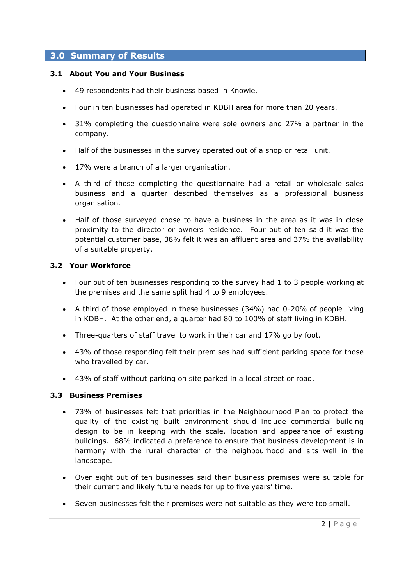# **3.0 Summary of Results**

## **3.1 About You and Your Business**

- 49 respondents had their business based in Knowle.
- Four in ten businesses had operated in KDBH area for more than 20 years.
- 31% completing the questionnaire were sole owners and 27% a partner in the company.
- Half of the businesses in the survey operated out of a shop or retail unit.
- 17% were a branch of a larger organisation.
- A third of those completing the questionnaire had a retail or wholesale sales business and a quarter described themselves as a professional business organisation.
- Half of those surveyed chose to have a business in the area as it was in close proximity to the director or owners residence. Four out of ten said it was the potential customer base, 38% felt it was an affluent area and 37% the availability of a suitable property.

### **3.2 Your Workforce**

- Four out of ten businesses responding to the survey had 1 to 3 people working at the premises and the same split had 4 to 9 employees.
- A third of those employed in these businesses (34%) had 0-20% of people living in KDBH. At the other end, a quarter had 80 to 100% of staff living in KDBH.
- Three-quarters of staff travel to work in their car and 17% go by foot.
- 43% of those responding felt their premises had sufficient parking space for those who travelled by car.
- 43% of staff without parking on site parked in a local street or road.

#### **3.3 Business Premises**

- 73% of businesses felt that priorities in the Neighbourhood Plan to protect the quality of the existing built environment should include commercial building design to be in keeping with the scale, location and appearance of existing buildings. 68% indicated a preference to ensure that business development is in harmony with the rural character of the neighbourhood and sits well in the landscape.
- Over eight out of ten businesses said their business premises were suitable for their current and likely future needs for up to five years' time.
- Seven businesses felt their premises were not suitable as they were too small.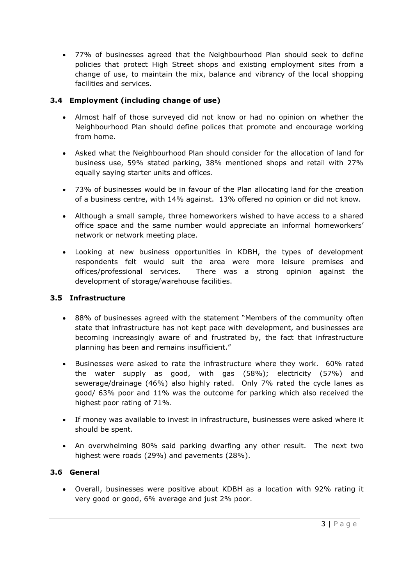77% of businesses agreed that the Neighbourhood Plan should seek to define policies that protect High Street shops and existing employment sites from a change of use, to maintain the mix, balance and vibrancy of the local shopping facilities and services.

# **3.4 Employment (including change of use)**

- Almost half of those surveyed did not know or had no opinion on whether the Neighbourhood Plan should define polices that promote and encourage working from home.
- Asked what the Neighbourhood Plan should consider for the allocation of land for business use, 59% stated parking, 38% mentioned shops and retail with 27% equally saying starter units and offices.
- 73% of businesses would be in favour of the Plan allocating land for the creation of a business centre, with 14% against. 13% offered no opinion or did not know.
- Although a small sample, three homeworkers wished to have access to a shared office space and the same number would appreciate an informal homeworkers' network or network meeting place.
- Looking at new business opportunities in KDBH, the types of development respondents felt would suit the area were more leisure premises and offices/professional services. There was a strong opinion against the development of storage/warehouse facilities.

# **3.5 Infrastructure**

- 88% of businesses agreed with the statement "Members of the community often state that infrastructure has not kept pace with development, and businesses are becoming increasingly aware of and frustrated by, the fact that infrastructure planning has been and remains insufficient."
- Businesses were asked to rate the infrastructure where they work. 60% rated the water supply as good, with gas (58%); electricity (57%) and sewerage/drainage (46%) also highly rated. Only 7% rated the cycle lanes as good/ 63% poor and 11% was the outcome for parking which also received the highest poor rating of 71%.
- If money was available to invest in infrastructure, businesses were asked where it should be spent.
- An overwhelming 80% said parking dwarfing any other result. The next two highest were roads (29%) and pavements (28%).

# **3.6 General**

 Overall, businesses were positive about KDBH as a location with 92% rating it very good or good, 6% average and just 2% poor.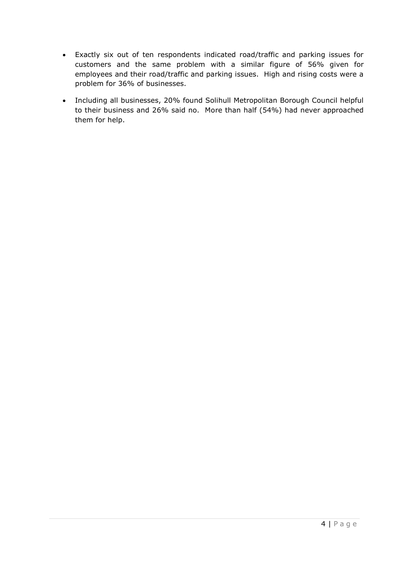- Exactly six out of ten respondents indicated road/traffic and parking issues for customers and the same problem with a similar figure of 56% given for employees and their road/traffic and parking issues. High and rising costs were a problem for 36% of businesses.
- Including all businesses, 20% found Solihull Metropolitan Borough Council helpful to their business and 26% said no. More than half (54%) had never approached them for help.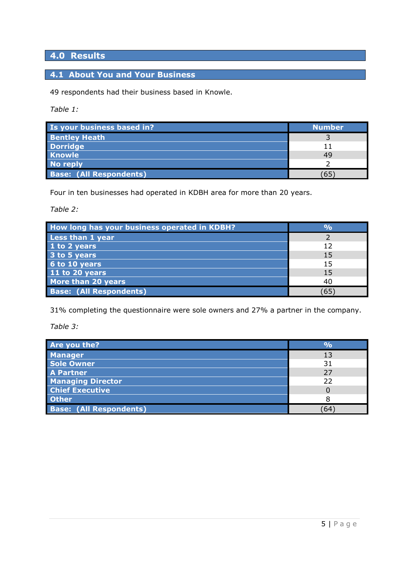# **4.0 Results**

# **4.1 About You and Your Business**

49 respondents had their business based in Knowle.

*Table 1:* 

| Is your business based in?     | <b>Number</b> |
|--------------------------------|---------------|
| <b>Bentley Heath</b>           |               |
| <b>Dorridge</b>                | 11            |
| <b>Knowle</b>                  | 49            |
| <b>No reply</b>                |               |
| <b>Base: (All Respondents)</b> | 65            |

Four in ten businesses had operated in KDBH area for more than 20 years.

*Table 2:*

| How long has your business operated in KDBH? | $\mathbf{O}_0$ |
|----------------------------------------------|----------------|
| Less than 1 year                             |                |
| 1 to 2 years                                 | 12             |
| 3 to 5 years                                 | 15             |
| 6 to 10 years                                | 15             |
| 11 to 20 years                               | 15             |
| More than 20 years                           | 40             |
| <b>Base: (All Respondents)</b>               | 65             |

31% completing the questionnaire were sole owners and 27% a partner in the company.

*Table 3:*

| Are you the?                   | $\overline{\mathsf{o}}$ |
|--------------------------------|-------------------------|
| <b>Manager</b>                 | 13                      |
| <b>Sole Owner</b>              | 31                      |
| <b>A Partner</b>               | 27                      |
| <b>Managing Director</b>       | 22                      |
| <b>Chief Executive</b>         |                         |
| <b>Other</b>                   |                         |
| <b>Base: (All Respondents)</b> | 64                      |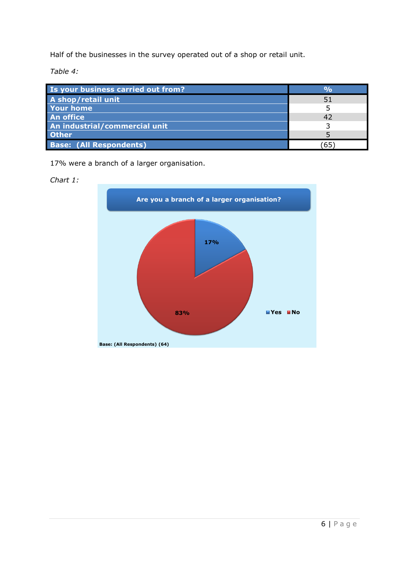Half of the businesses in the survey operated out of a shop or retail unit.

*Table 4:*

| Is your business carried out from? |    |
|------------------------------------|----|
| A shop/retail unit                 | 51 |
| <b>Your home</b>                   |    |
| <b>An office</b>                   | 42 |
| An industrial/commercial unit      |    |
| <b>Other</b>                       |    |
| <b>Base: (All Respondents)</b>     |    |

17% were a branch of a larger organisation.

# *Chart 1:*

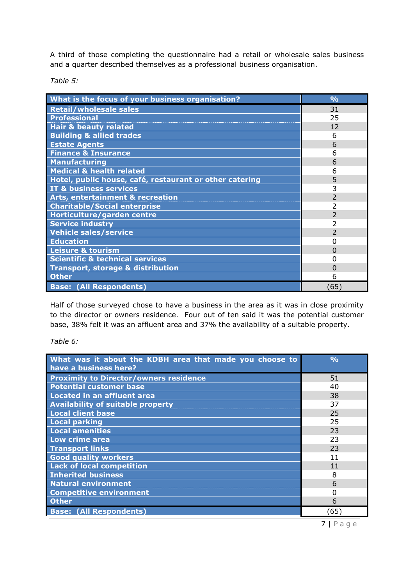A third of those completing the questionnaire had a retail or wholesale sales business and a quarter described themselves as a professional business organisation.

*Table 5:*

| What is the focus of your business organisation?        | $\frac{0}{0}$            |
|---------------------------------------------------------|--------------------------|
| <b>Retail/wholesale sales</b>                           | 31                       |
| <b>Professional</b>                                     | 25                       |
| <b>Hair &amp; beauty related</b>                        | 12                       |
| <b>Building &amp; allied trades</b>                     | 6                        |
| <b>Estate Agents</b>                                    | 6                        |
| <b>Finance &amp; Insurance</b>                          | 6                        |
| <b>Manufacturing</b>                                    | 6                        |
| <b>Medical &amp; health related</b>                     | 6                        |
| Hotel, public house, café, restaurant or other catering | 5                        |
| IT & business services                                  | 3                        |
| <b>Arts, entertainment &amp; recreation</b>             | $\overline{\phantom{a}}$ |
| <b>Charitable/Social enterprise</b>                     | 2                        |
| Horticulture/garden centre                              | $\overline{2}$           |
| <b>Service industry</b>                                 | 2                        |
| <b>Vehicle sales/service</b>                            | $\mathcal{P}$            |
| <b>Education</b>                                        | O                        |
| <b>Leisure &amp; tourism</b>                            | O                        |
| <b>Scientific &amp; technical services</b>              |                          |
| <b>Transport, storage &amp; distribution</b>            | $\Omega$                 |
| <b>Other</b>                                            | 6                        |
| <b>Base: (All Respondents)</b>                          | (65)                     |

Half of those surveyed chose to have a business in the area as it was in close proximity to the director or owners residence. Four out of ten said it was the potential customer base, 38% felt it was an affluent area and 37% the availability of a suitable property.

*Table 6:*

| What was it about the KDBH area that made you choose to<br>have a business here? | $\frac{0}{0}$ |
|----------------------------------------------------------------------------------|---------------|
| <b>Proximity to Director/owners residence</b>                                    | 51            |
| <b>Potential customer base</b>                                                   | 40            |
| <b>Located in an affluent area</b>                                               | 38            |
| <b>Availability of suitable property</b>                                         | 37            |
| <b>Local client base</b>                                                         | 25            |
| <b>Local parking</b>                                                             | 25            |
| <b>Local amenities</b>                                                           | 23            |
| Low crime area                                                                   | 23            |
| <b>Transport links</b>                                                           | 23            |
| <b>Good quality workers</b>                                                      | 11            |
| <b>Lack of local competition</b>                                                 | 11            |
| <b>Inherited business</b>                                                        | 8             |
| <b>Natural environment</b>                                                       | 6             |
| <b>Competitive environment</b>                                                   | O             |
| <b>Other</b>                                                                     | 6             |
| <b>Base: (All Respondents)</b>                                                   | (65)          |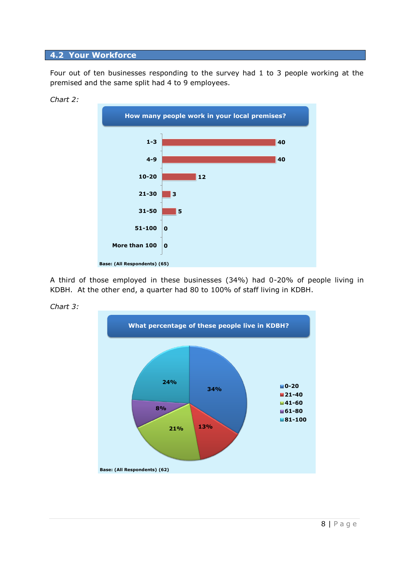### **4.2 Your Workforce**

Four out of ten businesses responding to the survey had 1 to 3 people working at the premised and the same split had 4 to 9 employees.





A third of those employed in these businesses (34%) had 0-20% of people living in KDBH. At the other end, a quarter had 80 to 100% of staff living in KDBH.



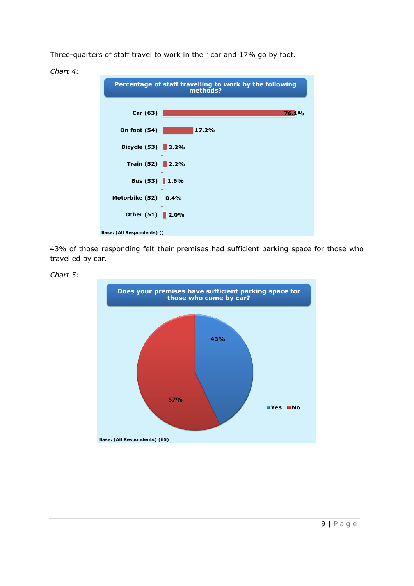Three-quarters of staff travel to work in their car and 17% go by foot.



43% of those responding felt their premises had sufficient parking space for those who travelled by car.





*Chart 4:*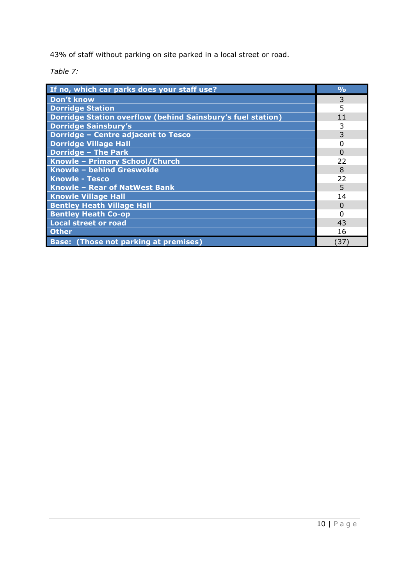43% of staff without parking on site parked in a local street or road.

*Table 7:*

| If no, which car parks does your staff use?                 | $\frac{O}{O}$ |
|-------------------------------------------------------------|---------------|
| <b>Don't know</b>                                           | 3             |
| <b>Dorridge Station</b>                                     | 5             |
| Dorridge Station overflow (behind Sainsbury's fuel station) | 11            |
| <b>Dorridge Sainsbury's</b>                                 | 3             |
| Dorridge - Centre adjacent to Tesco                         | 3             |
| <b>Dorridge Village Hall</b>                                | $\Omega$      |
| <b>Dorridge - The Park</b>                                  | $\Omega$      |
| Knowle - Primary School/Church                              | 22            |
| Knowle - behind Greswolde                                   | 8             |
| <b>Knowle - Tesco</b>                                       | 22            |
| Knowle - Rear of NatWest Bank                               | 5             |
| <b>Knowle Village Hall</b>                                  | 14            |
| <b>Bentley Heath Village Hall</b>                           | $\Omega$      |
| <b>Bentley Heath Co-op</b>                                  | 0             |
| <b>Local street or road</b>                                 | 43            |
| <b>Other</b>                                                | 16            |
| <b>Base: (Those not parking at premises)</b>                | 37)           |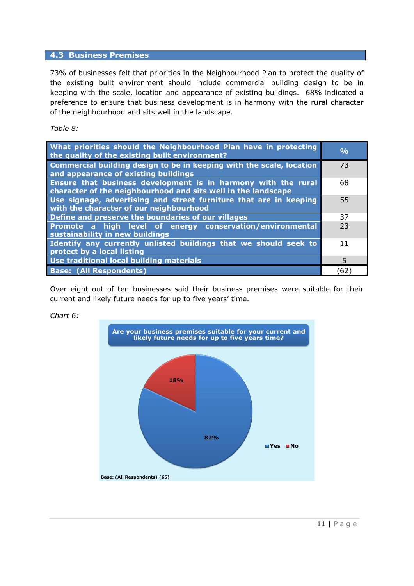# **4.3 Business Premises**

73% of businesses felt that priorities in the Neighbourhood Plan to protect the quality of the existing built environment should include commercial building design to be in keeping with the scale, location and appearance of existing buildings. 68% indicated a preference to ensure that business development is in harmony with the rural character of the neighbourhood and sits well in the landscape.

*Table 8:*

| What priorities should the Neighbourhood Plan have in protecting<br>the quality of the existing built environment?                    | $\frac{O}{O}$ |
|---------------------------------------------------------------------------------------------------------------------------------------|---------------|
| Commercial building design to be in keeping with the scale, location<br>and appearance of existing buildings                          | 73            |
| <b>Ensure that business development is in harmony with the rural</b><br>character of the neighbourhood and sits well in the landscape | 68            |
| Use signage, advertising and street furniture that are in keeping<br>with the character of our neighbourhood                          | 55            |
| Define and preserve the boundaries of our villages                                                                                    | 37            |
| Promote a high level of energy conservation/environmental<br>sustainability in new buildings                                          | 23            |
| Identify any currently unlisted buildings that we should seek to<br>protect by a local listing                                        | 11            |
| Use traditional local building materials                                                                                              | 5             |
| <b>Base: (All Respondents)</b>                                                                                                        | 62            |

Over eight out of ten businesses said their business premises were suitable for their current and likely future needs for up to five years' time.



## *Chart 6:*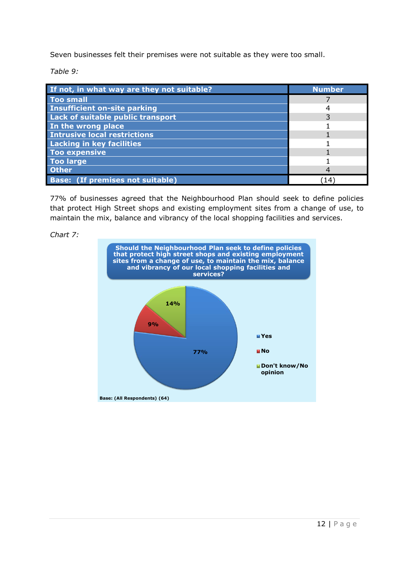Seven businesses felt their premises were not suitable as they were too small.

*Table 9:*

| If not, in what way are they not suitable? | <b>Number</b> |
|--------------------------------------------|---------------|
| <b>Too small</b>                           |               |
| <b>Insufficient on-site parking</b>        |               |
| Lack of suitable public transport          |               |
| In the wrong place                         |               |
| <b>Intrusive local restrictions</b>        |               |
| <b>Lacking in key facilities</b>           |               |
| <b>Too expensive</b>                       |               |
| <b>Too large</b>                           |               |
| <b>Other</b>                               |               |
| <b>Base: (If premises not suitable)</b>    | 14            |

77% of businesses agreed that the Neighbourhood Plan should seek to define policies that protect High Street shops and existing employment sites from a change of use, to maintain the mix, balance and vibrancy of the local shopping facilities and services.



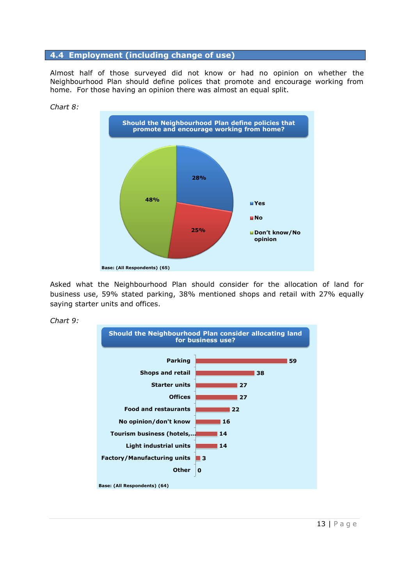#### **4.4 Employment (including change of use)**

Almost half of those surveyed did not know or had no opinion on whether the Neighbourhood Plan should define polices that promote and encourage working from home. For those having an opinion there was almost an equal split.



Asked what the Neighbourhood Plan should consider for the allocation of land for business use, 59% stated parking, 38% mentioned shops and retail with 27% equally saying starter units and offices.



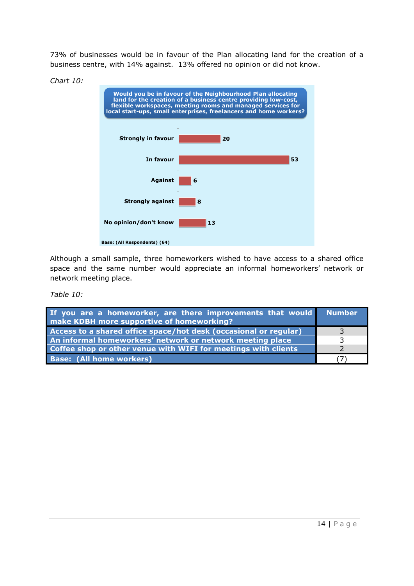73% of businesses would be in favour of the Plan allocating land for the creation of a business centre, with 14% against. 13% offered no opinion or did not know.



*Chart 10:*

Although a small sample, three homeworkers wished to have access to a shared office space and the same number would appreciate an informal homeworkers' network or network meeting place.

*Table 10:*

| If you are a homeworker, are there improvements that would Number<br>make KDBH more supportive of homeworking? |  |
|----------------------------------------------------------------------------------------------------------------|--|
| Access to a shared office space/hot desk (occasional or regular)                                               |  |
| An informal homeworkers' network or network meeting place                                                      |  |
| Coffee shop or other venue with WIFI for meetings with clients                                                 |  |
| <b>Base: (All home workers)</b>                                                                                |  |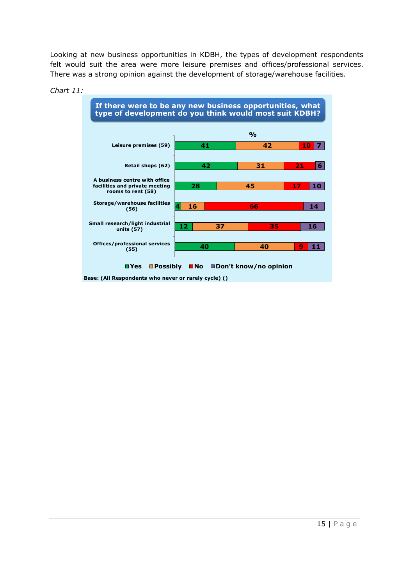Looking at new business opportunities in KDBH, the types of development respondents felt would suit the area were more leisure premises and offices/professional services. There was a strong opinion against the development of storage/warehouse facilities.



#### *Chart 11:*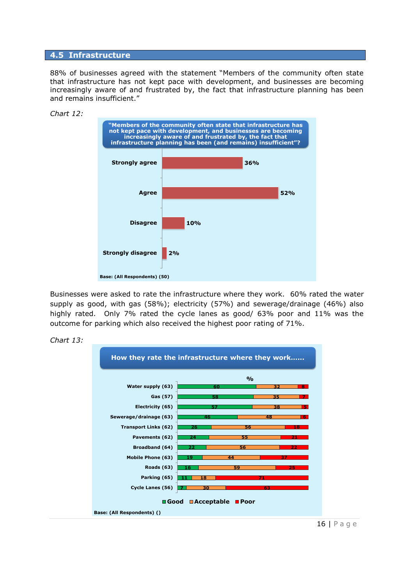#### **4.5 Infrastructure**

88% of businesses agreed with the statement "Members of the community often state that infrastructure has not kept pace with development, and businesses are becoming increasingly aware of and frustrated by, the fact that infrastructure planning has been and remains insufficient."



Businesses were asked to rate the infrastructure where they work. 60% rated the water supply as good, with gas (58%); electricity (57%) and sewerage/drainage (46%) also highly rated. Only 7% rated the cycle lanes as good/ 63% poor and 11% was the outcome for parking which also received the highest poor rating of 71%.





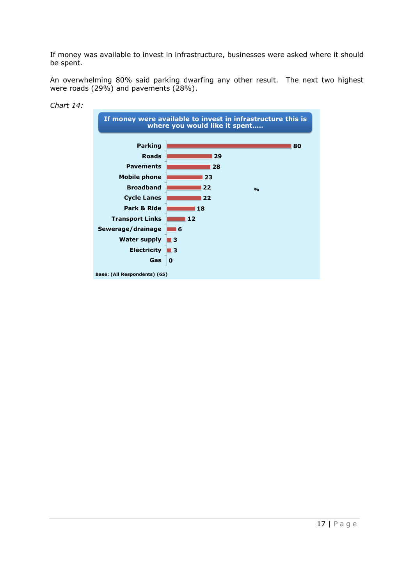If money was available to invest in infrastructure, businesses were asked where it should be spent.

An overwhelming 80% said parking dwarfing any other result. The next two highest were roads (29%) and pavements (28%).



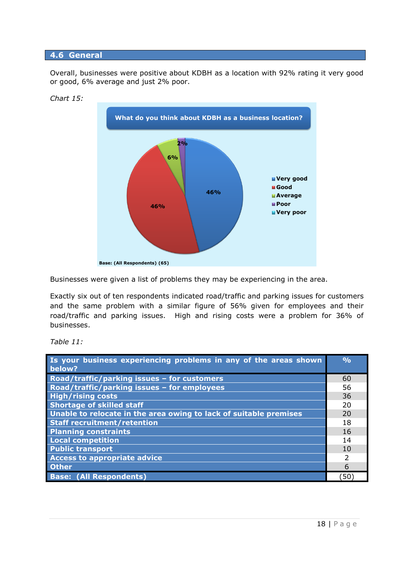### **4.6 General**

Overall, businesses were positive about KDBH as a location with 92% rating it very good or good, 6% average and just 2% poor.





Businesses were given a list of problems they may be experiencing in the area.

Exactly six out of ten respondents indicated road/traffic and parking issues for customers and the same problem with a similar figure of 56% given for employees and their road/traffic and parking issues. High and rising costs were a problem for 36% of businesses.

*Table 11:*

| Is your business experiencing problems in any of the areas shown<br>below? | O <sub>0</sub> |
|----------------------------------------------------------------------------|----------------|
| Road/traffic/parking issues - for customers                                | 60             |
| Road/traffic/parking issues - for employees                                | 56             |
| <b>High/rising costs</b>                                                   | 36             |
| <b>Shortage of skilled staff</b>                                           | 20             |
| Unable to relocate in the area owing to lack of suitable premises          | 20             |
| <b>Staff recruitment/retention</b>                                         | 18             |
| <b>Planning constraints</b>                                                | 16             |
| <b>Local competition</b>                                                   | 14             |
| <b>Public transport</b>                                                    | 10             |
| <b>Access to appropriate advice</b>                                        |                |
| <b>Other</b>                                                               | 6              |
| <b>Base: (All Respondents)</b>                                             | 50             |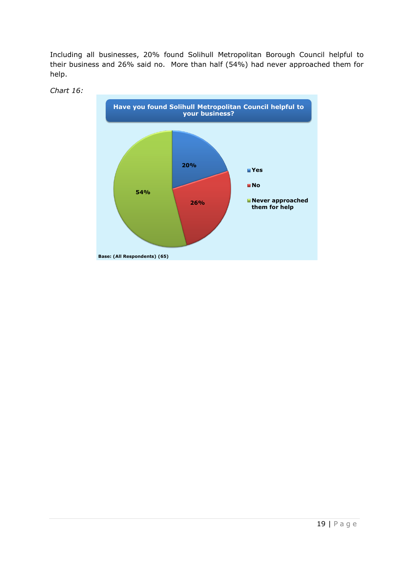Including all businesses, 20% found Solihull Metropolitan Borough Council helpful to their business and 26% said no. More than half (54%) had never approached them for help.



### *Chart 16:*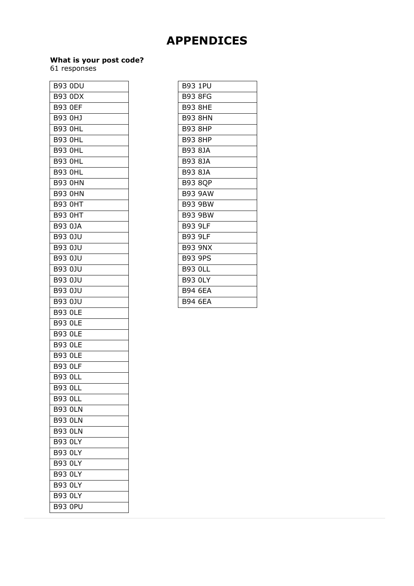# **APPENDICES**

#### **What is your post code?**

61 responses

| <b>B93 ODU</b>    |
|-------------------|
| <b>B93 ODX</b>    |
| <b>B93 OEF</b>    |
| B93 0HJ           |
| <b>B93 OHL</b>    |
| <b>B93 OHL</b>    |
| 0HL<br>B93.       |
| <b>B93 OHL</b>    |
| <b>B93 OHL</b>    |
| <b>B93 OHN</b>    |
| <b>B93 0HN</b>    |
| <b>B93 OHT</b>    |
| <b>B93 OHT</b>    |
| B93 0JA           |
| <b>B93 0JU</b>    |
| <b>B93 0JU</b>    |
| <b>B93 0JU</b>    |
| <b>B93 0JU</b>    |
| B93<br>0JU        |
| <b>B93 0JU</b>    |
| <b>B93 0JU</b>    |
| <b>B93 OLE</b>    |
| <b>B93 OLE</b>    |
| 0LE<br>B93.       |
| <b>B93 OLE</b>    |
| 0LE<br>B93        |
| <b>B93 OLF</b>    |
| <b>B93 OLL</b>    |
| <b>B93</b><br>0LI |
| <b>B93 OLL</b>    |
| <b>B93 OLN</b>    |
| <b>B93 OLN</b>    |
| <b>B93 OLN</b>    |
| <b>B93 OLY</b>    |
| <b>B93 OLY</b>    |
| <b>B93 OLY</b>    |
| <b>B93 OLY</b>    |
| <b>B93 OLY</b>    |
| <b>B93 OLY</b>    |
| B93<br>0PU        |

| <b>B93 8FG</b><br><b>B93 8HE</b><br><b>B93 8HN</b><br><b>B93 8HP</b><br><b>B93 8HP</b><br>B93 8JA<br>B93 8JA<br>B93 8JA<br><b>B93 8QP</b><br><b>B93 9AW</b><br><b>B93 9BW</b><br><b>B93 9BW</b><br><b>B93 9LF</b><br><b>B93 9LF</b><br><b>B93 9NX</b><br><b>B93 9PS</b><br><b>B93 OLL</b><br><b>B93 OLY</b><br><b>B94 6FA</b><br><b>B94 6EA</b> |                |
|-------------------------------------------------------------------------------------------------------------------------------------------------------------------------------------------------------------------------------------------------------------------------------------------------------------------------------------------------|----------------|
|                                                                                                                                                                                                                                                                                                                                                 | <b>B93 1PU</b> |
|                                                                                                                                                                                                                                                                                                                                                 |                |
|                                                                                                                                                                                                                                                                                                                                                 |                |
|                                                                                                                                                                                                                                                                                                                                                 |                |
|                                                                                                                                                                                                                                                                                                                                                 |                |
|                                                                                                                                                                                                                                                                                                                                                 |                |
|                                                                                                                                                                                                                                                                                                                                                 |                |
|                                                                                                                                                                                                                                                                                                                                                 |                |
|                                                                                                                                                                                                                                                                                                                                                 |                |
|                                                                                                                                                                                                                                                                                                                                                 |                |
|                                                                                                                                                                                                                                                                                                                                                 |                |
|                                                                                                                                                                                                                                                                                                                                                 |                |
|                                                                                                                                                                                                                                                                                                                                                 |                |
|                                                                                                                                                                                                                                                                                                                                                 |                |
|                                                                                                                                                                                                                                                                                                                                                 |                |
|                                                                                                                                                                                                                                                                                                                                                 |                |
|                                                                                                                                                                                                                                                                                                                                                 |                |
|                                                                                                                                                                                                                                                                                                                                                 |                |
|                                                                                                                                                                                                                                                                                                                                                 |                |
|                                                                                                                                                                                                                                                                                                                                                 |                |
|                                                                                                                                                                                                                                                                                                                                                 |                |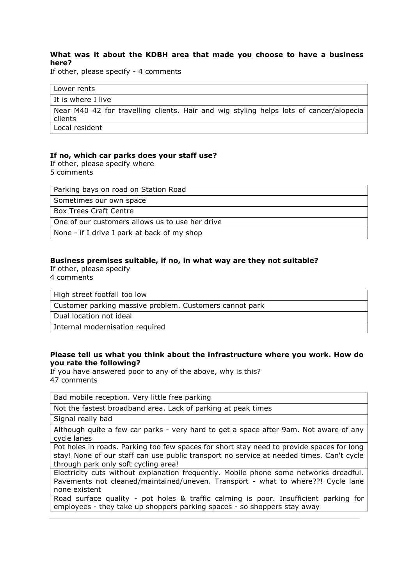#### **What was it about the KDBH area that made you choose to have a business here?**

If other, please specify - 4 comments

| Lower rents                                                                                       |
|---------------------------------------------------------------------------------------------------|
| It is where I live                                                                                |
| Near M40 42 for travelling clients. Hair and wig styling helps lots of cancer/alopecia<br>clients |
| Local resident                                                                                    |

#### **If no, which car parks does your staff use?**

If other, please specify where 5 comments

Parking bays on road on Station Road

Sometimes our own space

Box Trees Craft Centre

One of our customers allows us to use her drive

None - if I drive I park at back of my shop

#### **Business premises suitable, if no, in what way are they not suitable?**

If other, please specify 4 comments

High street footfall too low

Customer parking massive problem. Customers cannot park

Dual location not ideal

Internal modernisation required

#### **Please tell us what you think about the infrastructure where you work. How do you rate the following?**

If you have answered poor to any of the above, why is this? 47 comments

| Bad mobile reception. Very little free parking                                                                                                                                                                                |
|-------------------------------------------------------------------------------------------------------------------------------------------------------------------------------------------------------------------------------|
| Not the fastest broadband area. Lack of parking at peak times                                                                                                                                                                 |
| Signal really bad                                                                                                                                                                                                             |
| Although quite a few car parks - very hard to get a space after 9am. Not aware of any<br>cycle lanes                                                                                                                          |
| Pot holes in roads. Parking too few spaces for short stay need to provide spaces for long<br>stay! None of our staff can use public transport no service at needed times. Can't cycle<br>through park only soft cycling area! |
| Electricity cuts without explanation frequently. Mobile phone some networks dreadful.<br>Pavements not cleaned/maintained/uneven. Transport - what to where??! Cycle lane<br>none existent                                    |
| Road surface quality - pot holes & traffic calming is poor. Insufficient parking for<br>employees - they take up shoppers parking spaces - so shoppers stay away                                                              |
|                                                                                                                                                                                                                               |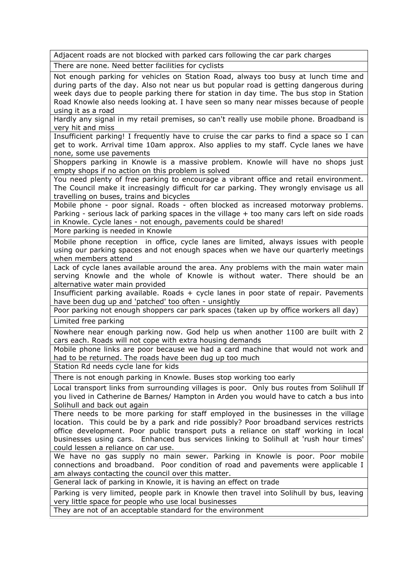Adjacent roads are not blocked with parked cars following the car park charges

There are none. Need better facilities for cyclists

Not enough parking for vehicles on Station Road, always too busy at lunch time and during parts of the day. Also not near us but popular road is getting dangerous during week days due to people parking there for station in day time. The bus stop in Station Road Knowle also needs looking at. I have seen so many near misses because of people using it as a road

Hardly any signal in my retail premises, so can't really use mobile phone. Broadband is very hit and miss

Insufficient parking! I frequently have to cruise the car parks to find a space so I can get to work. Arrival time 10am approx. Also applies to my staff. Cycle lanes we have none, some use pavements

Shoppers parking in Knowle is a massive problem. Knowle will have no shops just empty shops if no action on this problem is solved

You need plenty of free parking to encourage a vibrant office and retail environment. The Council make it increasingly difficult for car parking. They wrongly envisage us all travelling on buses, trains and bicycles

Mobile phone - poor signal. Roads - often blocked as increased motorway problems. Parking - serious lack of parking spaces in the village + too many cars left on side roads in Knowle. Cycle lanes - not enough, pavements could be shared!

More parking is needed in Knowle

Mobile phone reception in office, cycle lanes are limited, always issues with people using our parking spaces and not enough spaces when we have our quarterly meetings when members attend

Lack of cycle lanes available around the area. Any problems with the main water main serving Knowle and the whole of Knowle is without water. There should be an alternative water main provided

Insufficient parking available. Roads + cycle lanes in poor state of repair. Pavements have been dug up and 'patched' too often - unsightly

Poor parking not enough shoppers car park spaces (taken up by office workers all day) Limited free parking

Nowhere near enough parking now. God help us when another 1100 are built with 2 cars each. Roads will not cope with extra housing demands

Mobile phone links are poor because we had a card machine that would not work and had to be returned. The roads have been dug up too much

Station Rd needs cycle lane for kids

There is not enough parking in Knowle. Buses stop working too early

Local transport links from surrounding villages is poor. Only bus routes from Solihull If you lived in Catherine de Barnes/ Hampton in Arden you would have to catch a bus into Solihull and back out again

There needs to be more parking for staff employed in the businesses in the village location. This could be by a park and ride possibly? Poor broadband services restricts office development. Poor public transport puts a reliance on staff working in local businesses using cars. Enhanced bus services linking to Solihull at 'rush hour times' could lessen a reliance on car use.

We have no gas supply no main sewer. Parking in Knowle is poor. Poor mobile connections and broadband. Poor condition of road and pavements were applicable I am always contacting the council over this matter.

General lack of parking in Knowle, it is having an effect on trade

Parking is very limited, people park in Knowle then travel into Solihull by bus, leaving very little space for people who use local businesses

They are not of an acceptable standard for the environment